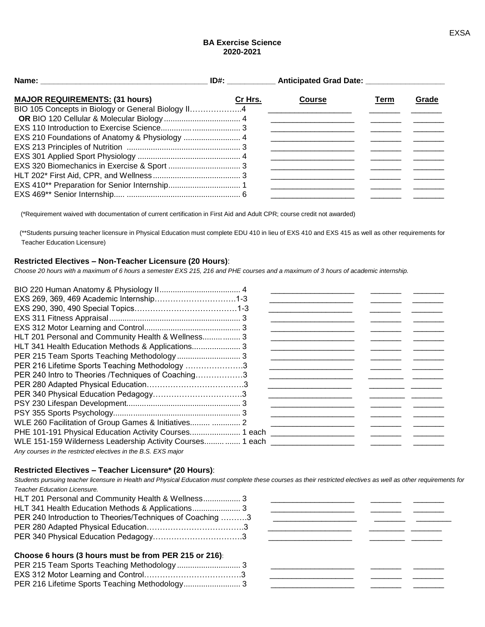## **BA Exercise Science 2020-2021**

| <b>MAJOR REQUIREMENTS: (31 hours)</b><br>BIO 105 Concepts in Biology or General Biology II4 | Cr Hrs. | <b>Course</b> | Term | Grade |
|---------------------------------------------------------------------------------------------|---------|---------------|------|-------|
|                                                                                             |         |               |      |       |
|                                                                                             |         |               |      |       |
| EXS 210 Foundations of Anatomy & Physiology  4                                              |         |               |      |       |
|                                                                                             |         |               |      |       |
|                                                                                             |         |               |      |       |
|                                                                                             |         |               |      |       |
|                                                                                             |         |               |      |       |
|                                                                                             |         |               |      |       |
|                                                                                             |         |               |      |       |

(\*Requirement waived with documentation of current certification in First Aid and Adult CPR; course credit not awarded)

 (\*\*Students pursuing teacher licensure in Physical Education must complete EDU 410 in lieu of EXS 410 and EXS 415 as well as other requirements for Teacher Education Licensure)

# **Restricted Electives – Non-Teacher Licensure (20 Hours)**:

*Choose 20 hours with a maximum of 6 hours a semester EXS 215, 216 and PHE courses and a maximum of 3 hours of academic internship.*

| EXS 269, 369, 469 Academic Internship1-3                                                                                                                                                                                         |  |
|----------------------------------------------------------------------------------------------------------------------------------------------------------------------------------------------------------------------------------|--|
|                                                                                                                                                                                                                                  |  |
|                                                                                                                                                                                                                                  |  |
|                                                                                                                                                                                                                                  |  |
| HLT 201 Personal and Community Health & Wellness 3                                                                                                                                                                               |  |
| HLT 341 Health Education Methods & Applications 3                                                                                                                                                                                |  |
|                                                                                                                                                                                                                                  |  |
| PER 216 Lifetime Sports Teaching Methodology 3                                                                                                                                                                                   |  |
| PER 240 Intro to Theories /Techniques of Coaching3                                                                                                                                                                               |  |
|                                                                                                                                                                                                                                  |  |
|                                                                                                                                                                                                                                  |  |
|                                                                                                                                                                                                                                  |  |
|                                                                                                                                                                                                                                  |  |
| WLE 260 Facilitation of Group Games & Initiatives  2                                                                                                                                                                             |  |
| PHE 101-191 Physical Education Activity Courses 1 each ______________________                                                                                                                                                    |  |
| WLE 151-159 Wilderness Leadership Activity Courses 1 each                                                                                                                                                                        |  |
| $\mathbf{A}$ , and the set of the set of the set of the set of the set of the set of the set of the set of the set of the set of the set of the set of the set of the set of the set of the set of the set of the set of the set |  |

*Any courses in the restricted electives in the B.S. EXS major*

#### **Restricted Electives – Teacher Licensure\* (20 Hours)**:

*Students pursuing teacher licensure in Health and Physical Education must complete these courses as their restricted electives as well as other requirements for Teacher Education Licensure.*

| HLT 201 Personal and Community Health & Wellness 3        |  |
|-----------------------------------------------------------|--|
|                                                           |  |
| PER 240 Introduction to Theories/Techniques of Coaching 3 |  |
|                                                           |  |
|                                                           |  |

### **Choose 6 hours (3 hours must be from PER 215 or 216)**: